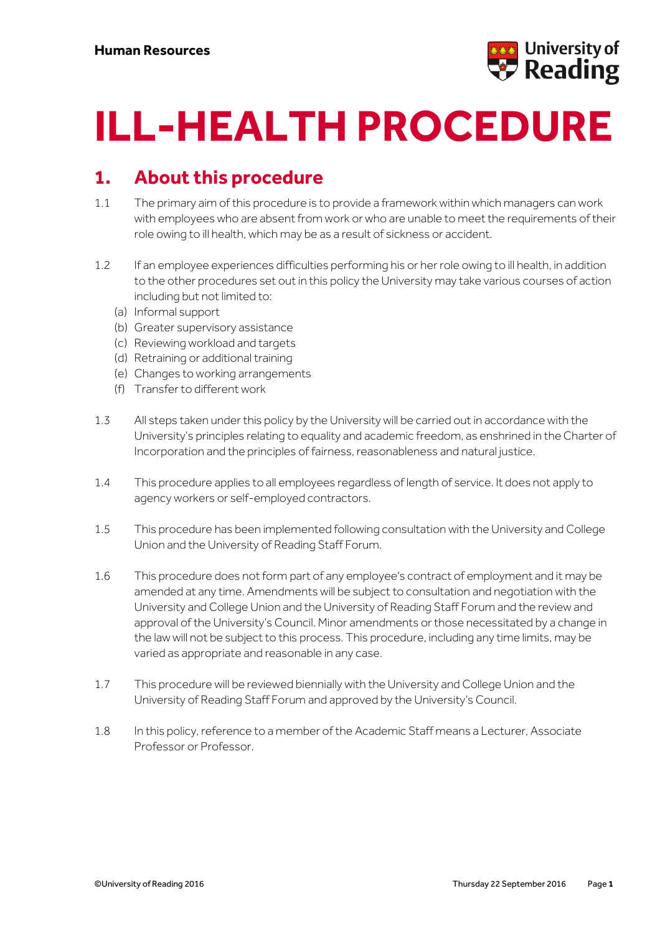

# **ILL-HEALTH PROCEDURE**

#### **1. About this procedure**

- 1.1 The primary aim of this procedure is to provide a framework within which managers can work with employees who are absent from work or who are unable to meet the requirements of their role owing to ill health, which may be as a result of sickness or accident.
- 1.2 If an employee experiences difficulties performing his or her role owing to ill health, in addition to the other procedures set out in this policy the University may take various courses of action including but not limited to:
	- (a) Informal support
	- (b) Greater supervisory assistance
	- (c) Reviewing workload and targets
	- (d) Retraining or additional training
	- (e) Changes to working arrangements
	- (f) Transfer to different work
- 1.3 All steps taken under this policy by the University will be carried out in accordance with the University's principles relating to equality and academic freedom, as enshrined in the Charter of Incorporation and the principles of fairness, reasonableness and natural justice.
- 1.4 This procedure applies to all employees regardless of length of service. It does not apply to agency workers or self-employed contractors.
- 1.5 This procedure has been implemented following consultation with the University and College Union and the University of Reading Staff Forum.
- 1.6 This procedure does not form part of any employee's contract of employment and it may be amended at any time. Amendments will be subject to consultation and negotiation with the University and College Union and the University of Reading Staff Forum and the review and approval of the University's Council. Minor amendments or those necessitated by a change in the law will not be subject to this process. This procedure, including any time limits, may be varied as appropriate and reasonable in any case.
- 1.7 This procedure will be reviewed biennially with the University and College Union and the University of Reading Staff Forum and approved by the University's Council.
- 1.8 In this policy, reference to a member of the Academic Staff means a Lecturer, Associate Professor or Professor.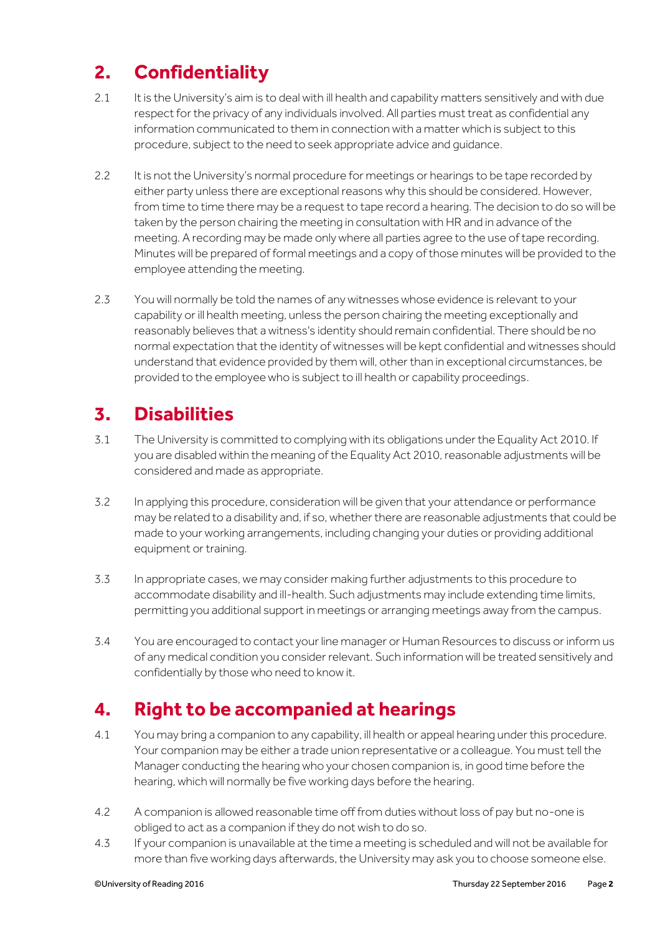# **2. Confidentiality**

- 2.1 It is the University's aim is to deal with ill health and capability matters sensitively and with due respect for the privacy of any individuals involved. All parties must treat as confidential any information communicated to them in connection with a matter which is subject to this procedure, subject to the need to seek appropriate advice and guidance.
- 2.2 It is not the University's normal procedure for meetings or hearings to be tape recorded by either party unless there are exceptional reasons why this should be considered. However, from time to time there may be a request to tape record a hearing. The decision to do so will be taken by the person chairing the meeting in consultation with HR and in advance of the meeting. A recording may be made only where all parties agree to the use of tape recording. Minutes will be prepared of formal meetings and a copy of those minutes will be provided to the employee attending the meeting.
- 2.3 You will normally be told the names of any witnesses whose evidence is relevant to your capability or ill health meeting, unless the person chairing the meeting exceptionally and reasonably believes that a witness's identity should remain confidential. There should be no normal expectation that the identity of witnesses will be kept confidential and witnesses should understand that evidence provided by them will, other than in exceptional circumstances, be provided to the employee who is subject to ill health or capability proceedings.

# **3. Disabilities**

- 3.1 The University is committed to complying with its obligations under the Equality Act 2010. If you are disabled within the meaning of the Equality Act 2010, reasonable adjustments will be considered and made as appropriate.
- 3.2 In applying this procedure, consideration will be given that your attendance or performance may be related to a disability and, if so, whether there are reasonable adjustments that could be made to your working arrangements, including changing your duties or providing additional equipment or training.
- 3.3 In appropriate cases, we may consider making further adjustments to this procedure to accommodate disability and ill-health. Such adjustments may include extending time limits, permitting you additional support in meetings or arranging meetings away from the campus.
- 3.4 You are encouraged to contact your line manager or Human Resources to discuss or inform us of any medical condition you consider relevant. Such information will be treated sensitively and confidentially by those who need to know it.

# **4. Right to be accompanied at hearings**

- 4.1 You may bring a companion to any capability, ill health or appeal hearing under this procedure. Your companion may be either a trade union representative or a colleague. You must tell the Manager conducting the hearing who your chosen companion is, in good time before the hearing, which will normally be five working days before the hearing.
- 4.2 A companion is allowed reasonable time off from duties without loss of pay but no-one is obliged to act as a companion if they do not wish to do so.
- 4.3 If your companion is unavailable at the time a meeting is scheduled and will not be available for more than five working days afterwards, the University may ask you to choose someone else.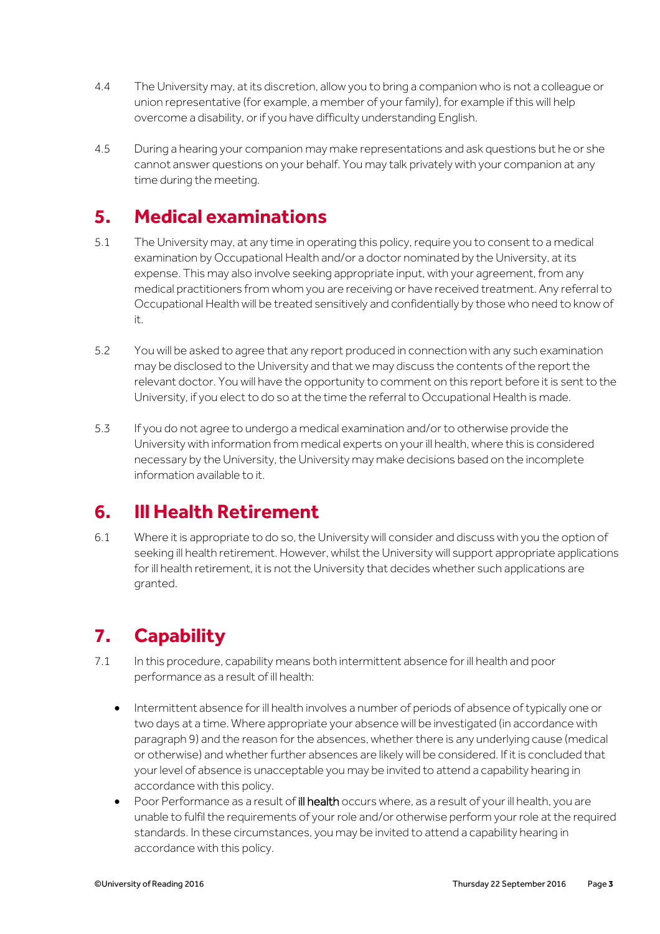- 4.4 The University may, at its discretion, allow you to bring a companion who is not a colleague or union representative (for example, a member of your family), for example if this will help overcome a disability, or if you have difficulty understanding English.
- 4.5 During a hearing your companion may make representations and ask questions but he or she cannot answer questions on your behalf. You may talk privately with your companion at any time during the meeting.

#### **5. Medical examinations**

- 5.1 The University may, at any time in operating this policy, require you to consent to a medical examination by Occupational Health and/or a doctor nominated by the University, at its expense. This may also involve seeking appropriate input, with your agreement, from any medical practitioners from whom you are receiving or have received treatment. Any referral to Occupational Health will be treated sensitively and confidentially by those who need to know of it.
- 5.2 You will be asked to agree that any report produced in connection with any such examination may be disclosed to the University and that we may discuss the contents of the report the relevant doctor. You will have the opportunity to comment on this report before it is sent to the University, if you elect to do so at the time the referral to Occupational Health is made.
- 5.3 If you do not agree to undergo a medical examination and/or to otherwise provide the University with information from medical experts on your ill health, where this is considered necessary by the University, the University may make decisions based on the incomplete information available to it.

## **6. Ill Health Retirement**

6.1 Where it is appropriate to do so, the University will consider and discuss with you the option of seeking ill health retirement. However, whilst the University will support appropriate applications for ill health retirement, it is not the University that decides whether such applications are granted.

# **7. Capability**

- 7.1 In this procedure, capability means both intermittent absence for ill health and poor performance as a result of ill health:
	- Intermittent absence for ill health involves a number of periods of absence of typically one or two days at a time. Where appropriate your absence will be investigated (in accordance with paragraph 9) and the reason for the absences, whether there is any underlying cause (medical or otherwise) and whether further absences are likely will be considered. If it is concluded that your level of absence is unacceptable you may be invited to attend a capability hearing in accordance with this policy.
	- Poor Performance as a result of ill health occurs where, as a result of your ill health, you are unable to fulfil the requirements of your role and/or otherwise perform your role at the required standards. In these circumstances, you may be invited to attend a capability hearing in accordance with this policy.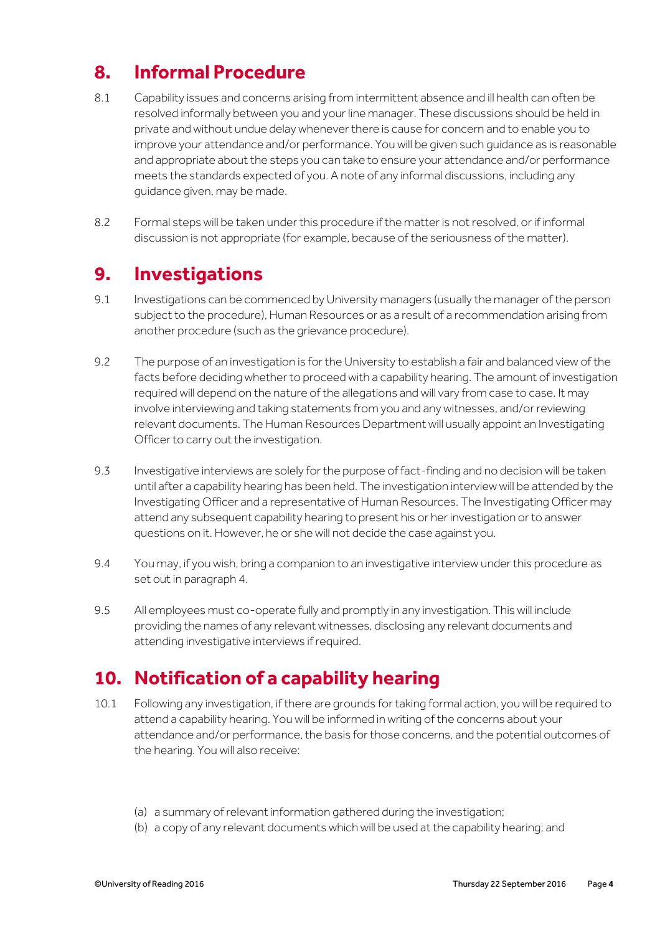# **8. Informal Procedure**

- 8.1 Capability issues and concerns arising from intermittent absence and ill health can often be resolved informally between you and your line manager. These discussions should be held in private and without undue delay whenever there is cause for concern and to enable you to improve your attendance and/or performance. You will be given such guidance as is reasonable and appropriate about the steps you can take to ensure your attendance and/or performance meets the standards expected of you. A note of any informal discussions, including any guidance given, may be made.
- 8.2 Formal steps will be taken under this procedure if the matter is not resolved, or if informal discussion is not appropriate (for example, because of the seriousness of the matter).

#### **9. Investigations**

- 9.1 Investigations can be commenced by University managers (usually the manager of the person subject to the procedure), Human Resources or as a result of a recommendation arising from another procedure (such as the grievance procedure).
- 9.2 The purpose of an investigation is for the University to establish a fair and balanced view of the facts before deciding whether to proceed with a capability hearing. The amount of investigation required will depend on the nature of the allegations and will vary from case to case. It may involve interviewing and taking statements from you and any witnesses, and/or reviewing relevant documents. The Human Resources Department will usually appoint an Investigating Officer to carry out the investigation.
- 9.3 Investigative interviews are solely for the purpose of fact-finding and no decision will be taken until after a capability hearing has been held. The investigation interview will be attended by the Investigating Officer and a representative of Human Resources. The Investigating Officer may attend any subsequent capability hearing to present his or her investigation or to answer questions on it. However, he or she will not decide the case against you.
- 9.4 You may, if you wish, bring a companion to an investigative interview under this procedure as set out in paragraph 4.
- 9.5 All employees must co-operate fully and promptly in any investigation. This will include providing the names of any relevant witnesses, disclosing any relevant documents and attending investigative interviews if required.

## **10. Notification of a capability hearing**

- 10.1 Following any investigation, if there are grounds for taking formal action, you will be required to attend a capability hearing. You will be informed in writing of the concerns about your attendance and/or performance, the basis for those concerns, and the potential outcomes of the hearing. You will also receive:
	- (a) a summary of relevant information gathered during the investigation;
	- (b) a copy of any relevant documents which will be used at the capability hearing; and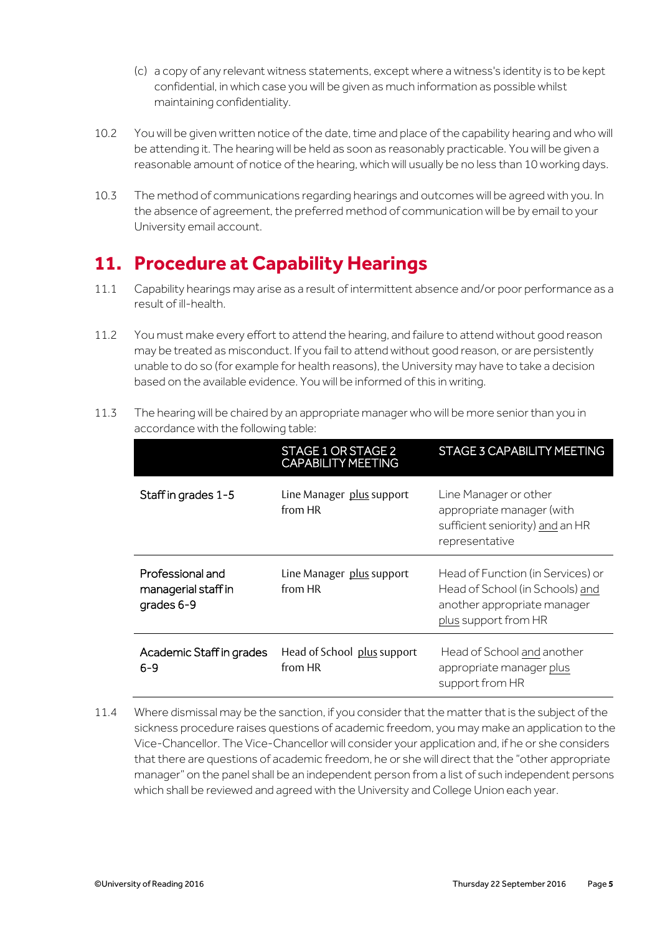- (c) a copy of any relevant witness statements, except where a witness's identity is to be kept confidential, in which case you will be given as much information as possible whilst maintaining confidentiality.
- 10.2 You will be given written notice of the date, time and place of the capability hearing and who will be attending it. The hearing will be held as soon as reasonably practicable. You will be given a reasonable amount of notice of the hearing, which will usually be no less than 10 working days.
- 10.3 The method of communications regarding hearings and outcomes will be agreed with you. In the absence of agreement, the preferred method of communication will be by email to your University email account.

# **11. Procedure at Capability Hearings**

- 11.1 Capability hearings may arise as a result of intermittent absence and/or poor performance as a result of ill-health.
- 11.2 You must make every effort to attend the hearing, and failure to attend without good reason may be treated as misconduct. If you fail to attend without good reason, or are persistently unable to do so (for example for health reasons), the University may have to take a decision based on the available evidence. You will be informed of this in writing.

|                                                       | STAGE 1 OR STAGE 2<br><b>CAPABILITY MEETING</b> | <b>STAGE 3 CAPABILITY MEETING</b>                                                                                           |
|-------------------------------------------------------|-------------------------------------------------|-----------------------------------------------------------------------------------------------------------------------------|
| Staff in grades 1-5                                   | Line Manager plus support<br>from HR            | Line Manager or other<br>appropriate manager (with<br>sufficient seniority) and an HR<br>representative                     |
| Professional and<br>managerial staff in<br>grades 6-9 | Line Manager plus support<br>from HR            | Head of Function (in Services) or<br>Head of School (in Schools) and<br>another appropriate manager<br>plus support from HR |
| Academic Staff in grades<br>$6 - 9$                   | Head of School plus support<br>from HR          | Head of School and another<br>appropriate manager plus<br>support from HR                                                   |

11.3 The hearing will be chaired by an appropriate manager who will be more senior than you in accordance with the following table:

11.4 Where dismissal may be the sanction, if you consider that the matter that is the subject of the sickness procedure raises questions of academic freedom, you may make an application to the Vice-Chancellor. The Vice-Chancellor will consider your application and, if he or she considers that there are questions of academic freedom, he or she will direct that the "other appropriate manager" on the panel shall be an independent person from a list of such independent persons which shall be reviewed and agreed with the University and College Union each year.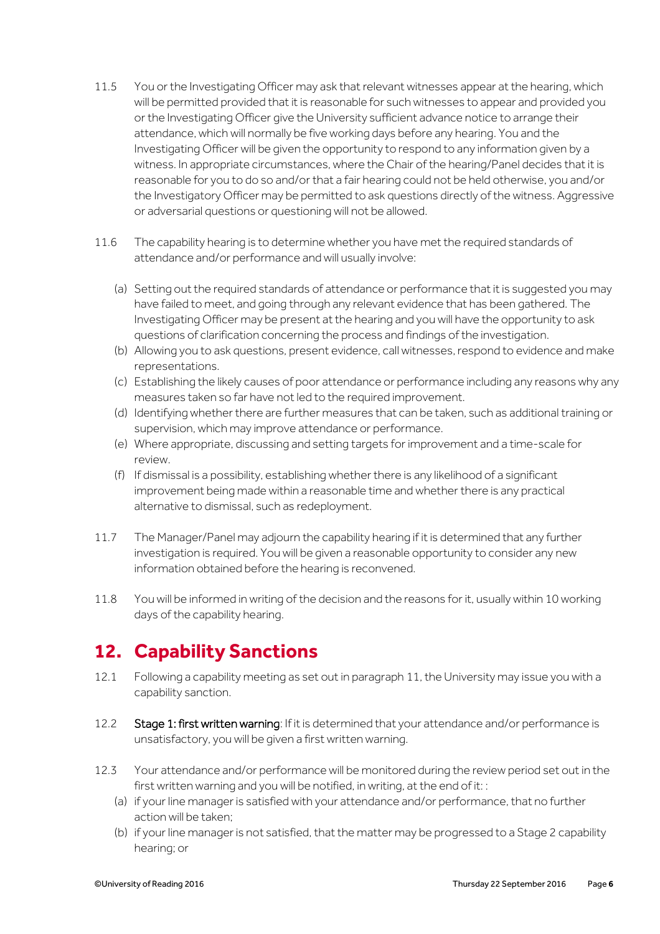- 11.5 You or the Investigating Officer may ask that relevant witnesses appear at the hearing, which will be permitted provided that it is reasonable for such witnesses to appear and provided you or the Investigating Officer give the University sufficient advance notice to arrange their attendance, which will normally be five working days before any hearing. You and the Investigating Officer will be given the opportunity to respond to any information given by a witness. In appropriate circumstances, where the Chair of the hearing/Panel decides that it is reasonable for you to do so and/or that a fair hearing could not be held otherwise, you and/or the Investigatory Officer may be permitted to ask questions directly of the witness. Aggressive or adversarial questions or questioning will not be allowed.
- 11.6 The capability hearing is to determine whether you have met the required standards of attendance and/or performance and will usually involve:
	- (a) Setting out the required standards of attendance or performance that it is suggested you may have failed to meet, and going through any relevant evidence that has been gathered. The Investigating Officer may be present at the hearing and you will have the opportunity to ask questions of clarification concerning the process and findings of the investigation.
	- (b) Allowing you to ask questions, present evidence, call witnesses, respond to evidence and make representations.
	- (c) Establishing the likely causes of poor attendance or performance including any reasons why any measures taken so far have not led to the required improvement.
	- (d) Identifying whether there are further measures that can be taken, such as additional training or supervision, which may improve attendance or performance.
	- (e) Where appropriate, discussing and setting targets for improvement and a time-scale for review.
	- (f) If dismissal is a possibility, establishing whether there is any likelihood of a significant improvement being made within a reasonable time and whether there is any practical alternative to dismissal, such as redeployment.
- 11.7 The Manager/Panel may adjourn the capability hearing if it is determined that any further investigation is required. You will be given a reasonable opportunity to consider any new information obtained before the hearing is reconvened.
- 11.8 You will be informed in writing of the decision and the reasons for it, usually within 10 working days of the capability hearing.

#### **12. Capability Sanctions**

- 12.1 Following a capability meeting as set out in paragraph 11, the University may issue you with a capability sanction.
- 12.2 Stage 1: first written warning: If it is determined that your attendance and/or performance is unsatisfactory, you will be given a first written warning.
- 12.3 Your attendance and/or performance will be monitored during the review period set out in the first written warning and you will be notified, in writing, at the end of it: :
	- (a) if your line manager is satisfied with your attendance and/or performance, that no further action will be taken;
	- (b) if your line manager is not satisfied, that the matter may be progressed to a Stage 2 capability hearing; or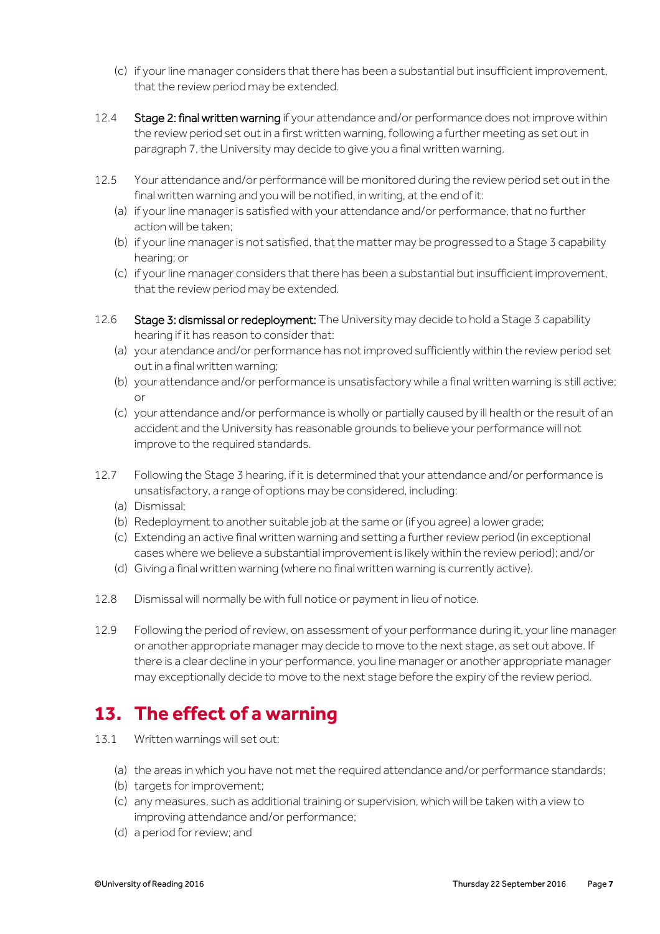- (c) if your line manager considers that there has been a substantial but insufficient improvement, that the review period may be extended.
- 12.4 Stage 2: final written warning if your attendance and/or performance does not improve within the review period set out in a first written warning, following a further meeting as set out in paragraph 7, the University may decide to give you a final written warning.
- 12.5 Your attendance and/or performance will be monitored during the review period set out in the final written warning and you will be notified, in writing, at the end of it:
	- (a) if your line manager is satisfied with your attendance and/or performance, that no further action will be taken;
	- (b) if your line manager is not satisfied, that the matter may be progressed to a Stage 3 capability hearing; or
	- (c) if your line manager considers that there has been a substantial but insufficient improvement, that the review period may be extended.
- 12.6 Stage 3: dismissal or redeployment: The University may decide to hold a Stage 3 capability hearing if it has reason to consider that:
	- (a) your atendance and/or performance has not improved sufficiently within the review period set out in a final written warning;
	- (b) your attendance and/or performance is unsatisfactory while a final written warning is still active; or
	- (c) your attendance and/or performance is wholly or partially caused by ill health or the result of an accident and the University has reasonable grounds to believe your performance will not improve to the required standards.
- 12.7 Following the Stage 3 hearing, if it is determined that your attendance and/or performance is unsatisfactory, a range of options may be considered, including:
	- (a) Dismissal;
	- (b) Redeployment to another suitable job at the same or (if you agree) a lower grade;
	- (c) Extending an active final written warning and setting a further review period (in exceptional cases where we believe a substantial improvement is likely within the review period); and/or
	- (d) Giving a final written warning (where no final written warning is currently active).
- 12.8 Dismissal will normally be with full notice or payment in lieu of notice.
- 12.9 Following the period of review, on assessment of your performance during it, your line manager or another appropriate manager may decide to move to the next stage, as set out above. If there is a clear decline in your performance, you line manager or another appropriate manager may exceptionally decide to move to the next stage before the expiry of the review period.

## **13. The effect of a warning**

- 13.1 Written warnings will set out:
	- (a) the areas in which you have not met the required attendance and/or performance standards;
	- (b) targets for improvement;
	- (c) any measures, such as additional training or supervision, which will be taken with a view to improving attendance and/or performance;
	- (d) a period for review; and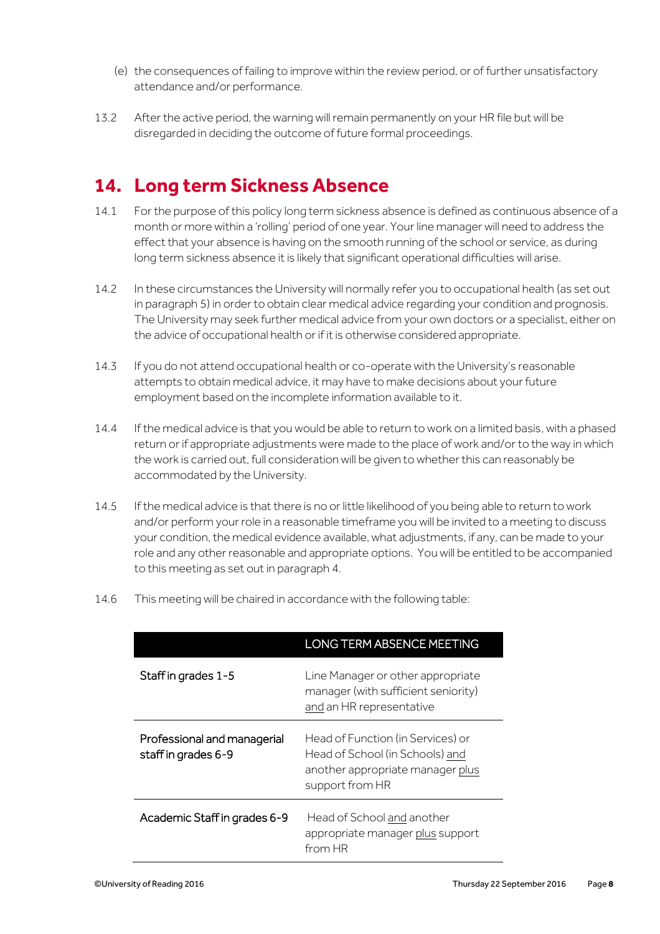- (e) the consequences of failing to improve within the review period, or of further unsatisfactory attendance and/or performance.
- 13.2 After the active period, the warning will remain permanently on your HR file but will be disregarded in deciding the outcome of future formal proceedings.

#### **14. Long term Sickness Absence**

- 14.1 For the purpose of this policy long term sickness absence is defined as continuous absence of a month or more within a 'rolling' period of one year. Your line manager will need to address the effect that your absence is having on the smooth running of the school or service, as during long term sickness absence it is likely that significant operational difficulties will arise.
- 14.2 In these circumstances the University will normally refer you to occupational health (as set out in paragraph 5) in order to obtain clear medical advice regarding your condition and prognosis. The University may seek further medical advice from your own doctors or a specialist, either on the advice of occupational health or if it is otherwise considered appropriate.
- 14.3 If you do not attend occupational health or co-operate with the University's reasonable attempts to obtain medical advice, it may have to make decisions about your future employment based on the incomplete information available to it.
- 14.4 If the medical advice is that you would be able to return to work on a limited basis, with a phased return or if appropriate adjustments were made to the place of work and/or to the way in which the work is carried out, full consideration will be given to whether this can reasonably be accommodated by the University.
- 14.5 If the medical advice is that there is no or little likelihood of you being able to return to work and/or perform your role in a reasonable timeframe you will be invited to a meeting to discuss your condition, the medical evidence available, what adjustments, if any, can be made to your role and any other reasonable and appropriate options. You will be entitled to be accompanied to this meeting as set out in paragraph 4.
- 14.6 This meeting will be chaired in accordance with the following table:

|                                                    | <b>LONG TERM ABSENCE MEETING</b>                                                                                            |
|----------------------------------------------------|-----------------------------------------------------------------------------------------------------------------------------|
| Staff in grades 1-5                                | Line Manager or other appropriate<br>manager (with sufficient seniority)<br>and an HR representative                        |
| Professional and managerial<br>staff in grades 6-9 | Head of Function (in Services) or<br>Head of School (in Schools) and<br>another appropriate manager plus<br>support from HR |
| Academic Staff in grades 6-9                       | Head of School and another<br>appropriate manager plus support<br>from HR                                                   |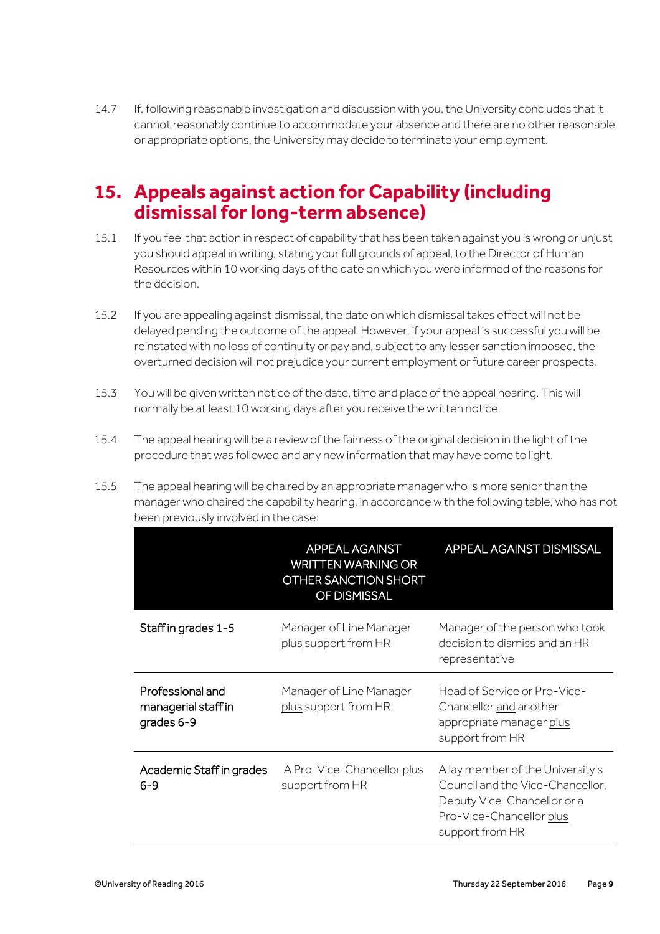14.7 If, following reasonable investigation and discussion with you, the University concludes that it cannot reasonably continue to accommodate your absence and there are no other reasonable or appropriate options, the University may decide to terminate your employment.

#### **15. Appeals against action for Capability (including dismissal for long-term absence)**

- 15.1 If you feel that action in respect of capability that has been taken against you is wrong or unjust you should appeal in writing, stating your full grounds of appeal, to the Director of Human Resources within 10 working days of the date on which you were informed of the reasons for the decision.
- 15.2 If you are appealing against dismissal, the date on which dismissal takes effect will not be delayed pending the outcome of the appeal. However, if your appeal is successful you will be reinstated with no loss of continuity or pay and, subject to any lesser sanction imposed, the overturned decision will not prejudice your current employment or future career prospects.
- 15.3 You will be given written notice of the date, time and place of the appeal hearing. This will normally be at least 10 working days after you receive the written notice.
- 15.4 The appeal hearing will be a review of the fairness of the original decision in the light of the procedure that was followed and any new information that may have come to light.
- 15.5 The appeal hearing will be chaired by an appropriate manager who is more senior than the manager who chaired the capability hearing, in accordance with the following table, who has not been previously involved in the case:

|                                                       | APPEAL AGAINST<br><b>WRITTEN WARNING OR</b><br>OTHER SANCTION SHORT<br>OF DISMISSAL | APPEAL AGAINST DISMISSAL                                                                                                                           |
|-------------------------------------------------------|-------------------------------------------------------------------------------------|----------------------------------------------------------------------------------------------------------------------------------------------------|
| Staff in grades 1-5                                   | Manager of Line Manager<br>plus support from HR                                     | Manager of the person who took<br>decision to dismiss and an HR<br>representative                                                                  |
| Professional and<br>managerial staff in<br>grades 6-9 | Manager of Line Manager<br>plus support from HR                                     | Head of Service or Pro-Vice-<br>Chancellor and another<br>appropriate manager plus<br>support from HR                                              |
| Academic Staff in grades<br>$6 - 9$                   | A Pro-Vice-Chancellor plus<br>support from HR                                       | A lay member of the University's<br>Council and the Vice-Chancellor.<br>Deputy Vice-Chancellor or a<br>Pro-Vice-Chancellor plus<br>support from HR |